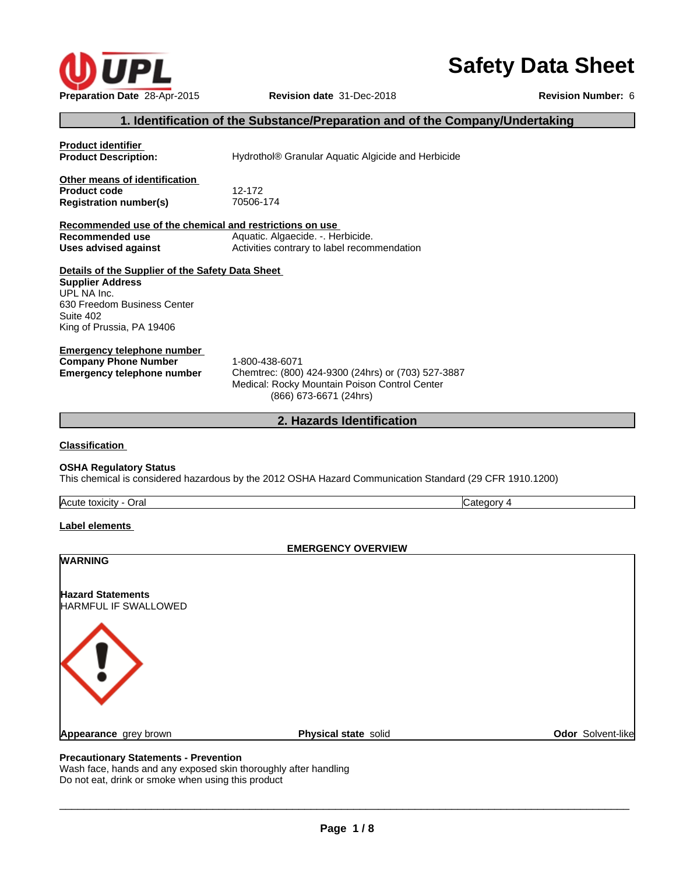

# **Safety Data Sheet**

# **1. Identification of the Substance/Preparation and of the Company/Undertaking**

| <b>Classification</b>                                                      |                                                                                                     |
|----------------------------------------------------------------------------|-----------------------------------------------------------------------------------------------------|
|                                                                            | 2. Hazards Identification                                                                           |
|                                                                            | (866) 673-6671 (24hrs)                                                                              |
| <b>Emergency telephone number</b>                                          | Chemtrec: (800) 424-9300 (24hrs) or (703) 527-3887<br>Medical: Rocky Mountain Poison Control Center |
| <b>Emergency telephone number</b><br><b>Company Phone Number</b>           | 1-800-438-6071                                                                                      |
| Suite 402<br>King of Prussia, PA 19406                                     |                                                                                                     |
| 630 Freedom Business Center                                                |                                                                                                     |
| <b>Supplier Address</b><br>UPL NA Inc.                                     |                                                                                                     |
| Details of the Supplier of the Safety Data Sheet                           |                                                                                                     |
| Uses advised against                                                       | Activities contrary to label recommendation                                                         |
| Recommended use of the chemical and restrictions on use<br>Recommended use | Aquatic. Algaecide. - Herbicide.                                                                    |
| <b>Registration number(s)</b>                                              | 70506-174                                                                                           |
| Other means of identification<br><b>Product code</b>                       | 12-172                                                                                              |
| <b>Product Description:</b>                                                | Hydrothol® Granular Aquatic Algicide and Herbicide                                                  |
| <b>Product identifier</b>                                                  |                                                                                                     |

## **OSHA Regulatory Status**

This chemical is considered hazardous by the 2012 OSHA Hazard Communication Standard (29 CFR 1910.1200)

Acute toxicity - Oral Category 4

## **Label elements**

|                                                  | <b>EMERGENCY OVERVIEW</b> |                   |
|--------------------------------------------------|---------------------------|-------------------|
| <b>WARNING</b>                                   |                           |                   |
| <b>Hazard Statements</b><br>HARMFUL IF SWALLOWED |                           |                   |
| ∢                                                |                           |                   |
| Appearance grey brown                            | Physical state solid      | Odor Solvent-like |
|                                                  |                           |                   |

## **Precautionary Statements - Prevention**

Wash face, hands and any exposed skin thoroughly after handling Do not eat, drink or smoke when using this product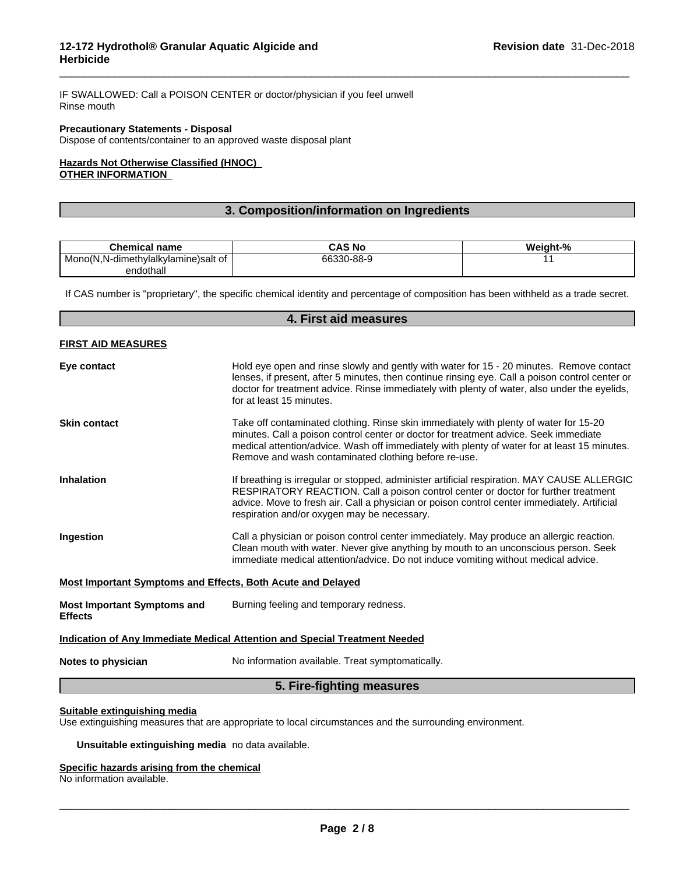IF SWALLOWED: Call a POISON CENTER or doctor/physician if you feel unwell Rinse mouth

#### **Precautionary Statements - Disposal**

Dispose of contents/container to an approved waste disposal plant

#### **Hazards Not Otherwise Classified (HNOC) OTHER INFORMATION**

# **3. Composition/information on Ingredients**

 $\overline{\phantom{a}}$  ,  $\overline{\phantom{a}}$  ,  $\overline{\phantom{a}}$  ,  $\overline{\phantom{a}}$  ,  $\overline{\phantom{a}}$  ,  $\overline{\phantom{a}}$  ,  $\overline{\phantom{a}}$  ,  $\overline{\phantom{a}}$  ,  $\overline{\phantom{a}}$  ,  $\overline{\phantom{a}}$  ,  $\overline{\phantom{a}}$  ,  $\overline{\phantom{a}}$  ,  $\overline{\phantom{a}}$  ,  $\overline{\phantom{a}}$  ,  $\overline{\phantom{a}}$  ,  $\overline{\phantom{a}}$ 

| <b>Chemical</b><br>name                                  | <b>CAS No</b> | - 04<br>.<br>Weiaht· |
|----------------------------------------------------------|---------------|----------------------|
| Mono(N,<br>l-dimethylalkylamine)salt of<br>. N- <i>r</i> | 66330-88-9    |                      |
| endothall                                                |               |                      |

If CAS number is "proprietary", the specific chemical identity and percentage of composition has been withheld as a trade secret.

|                                                                    | 4. First aid measures                                                                                                                                                                                                                                                                                                                 |
|--------------------------------------------------------------------|---------------------------------------------------------------------------------------------------------------------------------------------------------------------------------------------------------------------------------------------------------------------------------------------------------------------------------------|
| <b>FIRST AID MEASURES</b>                                          |                                                                                                                                                                                                                                                                                                                                       |
| Eye contact                                                        | Hold eye open and rinse slowly and gently with water for 15 - 20 minutes. Remove contact<br>lenses, if present, after 5 minutes, then continue rinsing eye. Call a poison control center or<br>doctor for treatment advice. Rinse immediately with plenty of water, also under the eyelids,<br>for at least 15 minutes.               |
| <b>Skin contact</b>                                                | Take off contaminated clothing. Rinse skin immediately with plenty of water for 15-20<br>minutes. Call a poison control center or doctor for treatment advice. Seek immediate<br>medical attention/advice. Wash off immediately with plenty of water for at least 15 minutes.<br>Remove and wash contaminated clothing before re-use. |
| <b>Inhalation</b>                                                  | If breathing is irregular or stopped, administer artificial respiration. MAY CAUSE ALLERGIC<br>RESPIRATORY REACTION. Call a poison control center or doctor for further treatment<br>advice. Move to fresh air. Call a physician or poison control center immediately. Artificial<br>respiration and/or oxygen may be necessary.      |
| Ingestion                                                          | Call a physician or poison control center immediately. May produce an allergic reaction.<br>Clean mouth with water. Never give anything by mouth to an unconscious person. Seek<br>immediate medical attention/advice. Do not induce vomiting without medical advice.                                                                 |
| <b>Most Important Symptoms and Effects, Both Acute and Delayed</b> |                                                                                                                                                                                                                                                                                                                                       |
| <b>Most Important Symptoms and</b><br><b>Effects</b>               | Burning feeling and temporary redness.                                                                                                                                                                                                                                                                                                |
|                                                                    | Indication of Any Immediate Medical Attention and Special Treatment Needed                                                                                                                                                                                                                                                            |
| Notes to physician                                                 | No information available. Treat symptomatically.                                                                                                                                                                                                                                                                                      |
|                                                                    | 5. Fire-fighting measures                                                                                                                                                                                                                                                                                                             |

#### **Suitable extinguishing media**

Use extinguishing measures that are appropriate to local circumstances and the surrounding environment.

#### **Unsuitable extinguishing media** no data available.

#### **Specific hazards arising from the chemical**

No information available.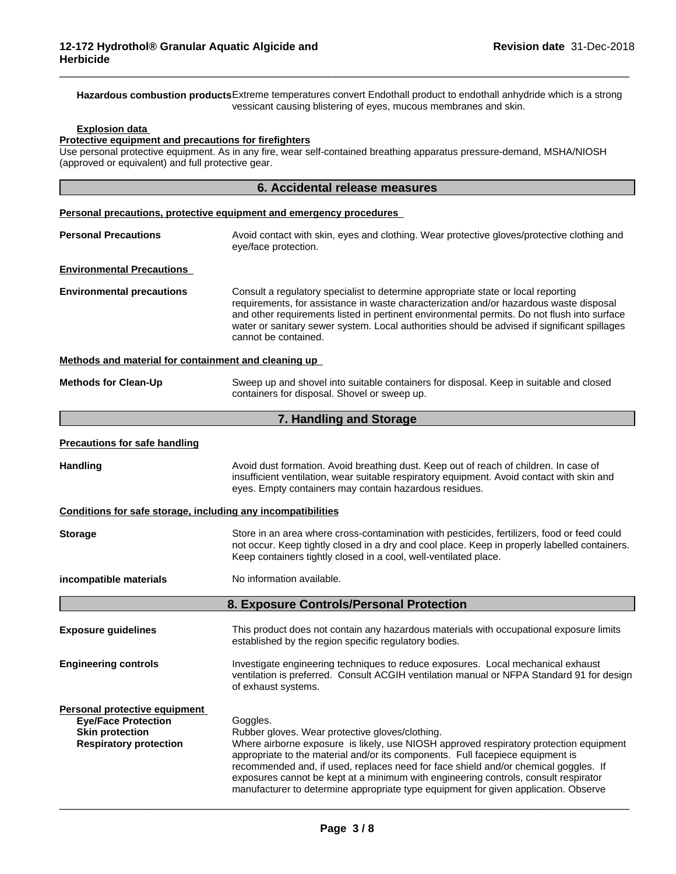**Hazardous combustion products**Extreme temperatures convert Endothall product to endothall anhydride which is a strong vessicant causing blistering of eyes, mucous membranes and skin.

 $\overline{\phantom{a}}$  ,  $\overline{\phantom{a}}$  ,  $\overline{\phantom{a}}$  ,  $\overline{\phantom{a}}$  ,  $\overline{\phantom{a}}$  ,  $\overline{\phantom{a}}$  ,  $\overline{\phantom{a}}$  ,  $\overline{\phantom{a}}$  ,  $\overline{\phantom{a}}$  ,  $\overline{\phantom{a}}$  ,  $\overline{\phantom{a}}$  ,  $\overline{\phantom{a}}$  ,  $\overline{\phantom{a}}$  ,  $\overline{\phantom{a}}$  ,  $\overline{\phantom{a}}$  ,  $\overline{\phantom{a}}$ 

## **Explosion data**

**Protective equipment and precautions for firefighters**

Use personal protective equipment. As in any fire, wear self-contained breathing apparatus pressure-demand, MSHA/NIOSH (approved or equivalent) and full protective gear.

|                                                                                                                        | 6. Accidental release measures                                                                                                                                                                                                                                                                                                                                                                                                                                                                               |  |  |
|------------------------------------------------------------------------------------------------------------------------|--------------------------------------------------------------------------------------------------------------------------------------------------------------------------------------------------------------------------------------------------------------------------------------------------------------------------------------------------------------------------------------------------------------------------------------------------------------------------------------------------------------|--|--|
|                                                                                                                        | Personal precautions, protective equipment and emergency procedures                                                                                                                                                                                                                                                                                                                                                                                                                                          |  |  |
| <b>Personal Precautions</b>                                                                                            | Avoid contact with skin, eyes and clothing. Wear protective gloves/protective clothing and<br>eye/face protection.                                                                                                                                                                                                                                                                                                                                                                                           |  |  |
| <b>Environmental Precautions</b>                                                                                       |                                                                                                                                                                                                                                                                                                                                                                                                                                                                                                              |  |  |
| <b>Environmental precautions</b>                                                                                       | Consult a regulatory specialist to determine appropriate state or local reporting<br>requirements, for assistance in waste characterization and/or hazardous waste disposal<br>and other requirements listed in pertinent environmental permits. Do not flush into surface<br>water or sanitary sewer system. Local authorities should be advised if significant spillages<br>cannot be contained.                                                                                                           |  |  |
| Methods and material for containment and cleaning up                                                                   |                                                                                                                                                                                                                                                                                                                                                                                                                                                                                                              |  |  |
| <b>Methods for Clean-Up</b>                                                                                            | Sweep up and shovel into suitable containers for disposal. Keep in suitable and closed<br>containers for disposal. Shovel or sweep up.                                                                                                                                                                                                                                                                                                                                                                       |  |  |
|                                                                                                                        | 7. Handling and Storage                                                                                                                                                                                                                                                                                                                                                                                                                                                                                      |  |  |
| <b>Precautions for safe handling</b>                                                                                   |                                                                                                                                                                                                                                                                                                                                                                                                                                                                                                              |  |  |
| <b>Handling</b>                                                                                                        | Avoid dust formation. Avoid breathing dust. Keep out of reach of children. In case of<br>insufficient ventilation, wear suitable respiratory equipment. Avoid contact with skin and<br>eyes. Empty containers may contain hazardous residues.                                                                                                                                                                                                                                                                |  |  |
| Conditions for safe storage, including any incompatibilities                                                           |                                                                                                                                                                                                                                                                                                                                                                                                                                                                                                              |  |  |
| <b>Storage</b>                                                                                                         | Store in an area where cross-contamination with pesticides, fertilizers, food or feed could<br>not occur. Keep tightly closed in a dry and cool place. Keep in properly labelled containers.<br>Keep containers tightly closed in a cool, well-ventilated place.                                                                                                                                                                                                                                             |  |  |
| incompatible materials                                                                                                 | No information available.                                                                                                                                                                                                                                                                                                                                                                                                                                                                                    |  |  |
|                                                                                                                        | 8. Exposure Controls/Personal Protection                                                                                                                                                                                                                                                                                                                                                                                                                                                                     |  |  |
| <b>Exposure guidelines</b>                                                                                             | This product does not contain any hazardous materials with occupational exposure limits<br>established by the region specific regulatory bodies.                                                                                                                                                                                                                                                                                                                                                             |  |  |
| <b>Engineering controls</b>                                                                                            | Investigate engineering techniques to reduce exposures. Local mechanical exhaust<br>ventilation is preferred. Consult ACGIH ventilation manual or NFPA Standard 91 for design<br>of exhaust systems.                                                                                                                                                                                                                                                                                                         |  |  |
| Personal protective equipment<br><b>Eye/Face Protection</b><br><b>Skin protection</b><br><b>Respiratory protection</b> | Goggles.<br>Rubber gloves. Wear protective gloves/clothing.<br>Where airborne exposure is likely, use NIOSH approved respiratory protection equipment<br>appropriate to the material and/or its components. Full facepiece equipment is<br>recommended and, if used, replaces need for face shield and/or chemical goggles. If<br>exposures cannot be kept at a minimum with engineering controls, consult respirator<br>manufacturer to determine appropriate type equipment for given application. Observe |  |  |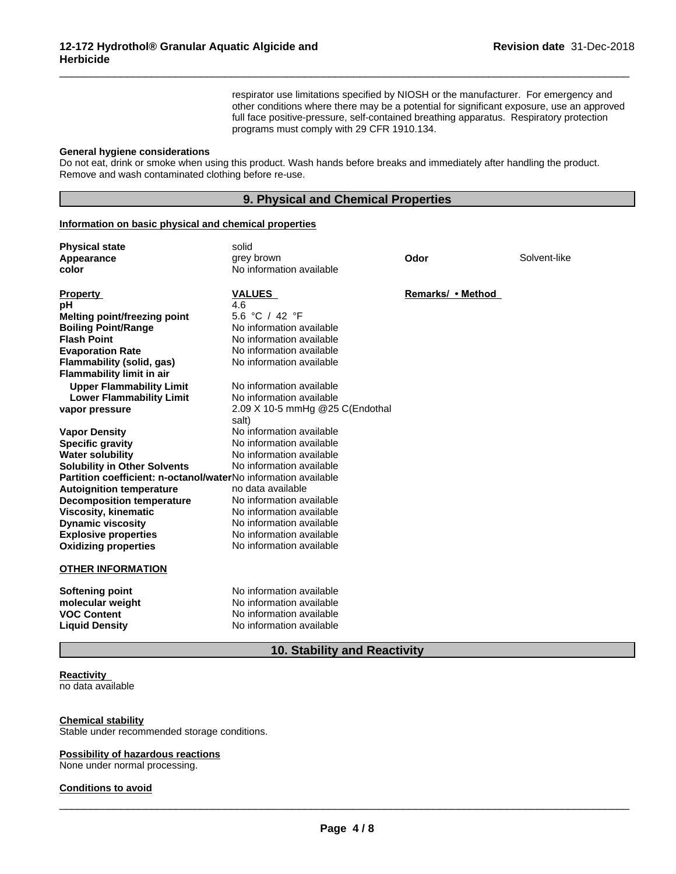respirator use limitations specified by NIOSH or the manufacturer. For emergency and other conditions where there may be a potential for significant exposure, use an approved full face positive-pressure, self-contained breathing apparatus. Respiratory protection programs must comply with 29 CFR 1910.134.

 $\overline{\phantom{a}}$  ,  $\overline{\phantom{a}}$  ,  $\overline{\phantom{a}}$  ,  $\overline{\phantom{a}}$  ,  $\overline{\phantom{a}}$  ,  $\overline{\phantom{a}}$  ,  $\overline{\phantom{a}}$  ,  $\overline{\phantom{a}}$  ,  $\overline{\phantom{a}}$  ,  $\overline{\phantom{a}}$  ,  $\overline{\phantom{a}}$  ,  $\overline{\phantom{a}}$  ,  $\overline{\phantom{a}}$  ,  $\overline{\phantom{a}}$  ,  $\overline{\phantom{a}}$  ,  $\overline{\phantom{a}}$ 

#### **General hygiene considerations**

Do not eat, drink or smoke when using this product. Wash hands before breaks and immediately after handling the product. Remove and wash contaminated clothing before re-use.

## **9. Physical and Chemical Properties**

## **Information on basic physical and chemical properties**

| <b>Physical state</b><br>Appearance<br>color                   | solid<br>grey brown<br>No information available | Odor              | Solvent-like |
|----------------------------------------------------------------|-------------------------------------------------|-------------------|--------------|
| <b>Property</b>                                                | <b>VALUES</b>                                   | Remarks/ • Method |              |
| рH                                                             | 4.6                                             |                   |              |
| Melting point/freezing point                                   | 5.6 °C / 42 °F                                  |                   |              |
| <b>Boiling Point/Range</b>                                     | No information available                        |                   |              |
| <b>Flash Point</b>                                             | No information available                        |                   |              |
| <b>Evaporation Rate</b>                                        | No information available                        |                   |              |
| Flammability (solid, gas)                                      | No information available                        |                   |              |
| <b>Flammability limit in air</b>                               |                                                 |                   |              |
| <b>Upper Flammability Limit</b>                                | No information available                        |                   |              |
| <b>Lower Flammability Limit</b>                                | No information available                        |                   |              |
| vapor pressure                                                 | 2.09 X 10-5 mmHg @25 C(Endothal<br>salt)        |                   |              |
| <b>Vapor Density</b>                                           | No information available                        |                   |              |
| <b>Specific gravity</b>                                        | No information available                        |                   |              |
| <b>Water solubility</b>                                        | No information available                        |                   |              |
| <b>Solubility in Other Solvents</b>                            | No information available                        |                   |              |
| Partition coefficient: n-octanol/waterNo information available |                                                 |                   |              |
| <b>Autoignition temperature</b>                                | no data available                               |                   |              |
| <b>Decomposition temperature</b>                               | No information available                        |                   |              |
| <b>Viscosity, kinematic</b>                                    | No information available                        |                   |              |
| <b>Dynamic viscosity</b>                                       | No information available                        |                   |              |
| <b>Explosive properties</b>                                    | No information available                        |                   |              |
| <b>Oxidizing properties</b>                                    | No information available                        |                   |              |
| <b>OTHER INFORMATION</b>                                       |                                                 |                   |              |
| <b>Softening point</b>                                         | No information available                        |                   |              |
| molecular weight                                               | No information available                        |                   |              |
| <b>VOC Content</b>                                             | No information available                        |                   |              |
| <b>Liquid Density</b>                                          | No information available                        |                   |              |

# **10. Stability and Reactivity**

#### **Reactivity**

no data available

#### **Chemical stability**

Stable under recommended storage conditions.

#### **Possibility of hazardous reactions**

None under normal processing.

#### **Conditions to avoid**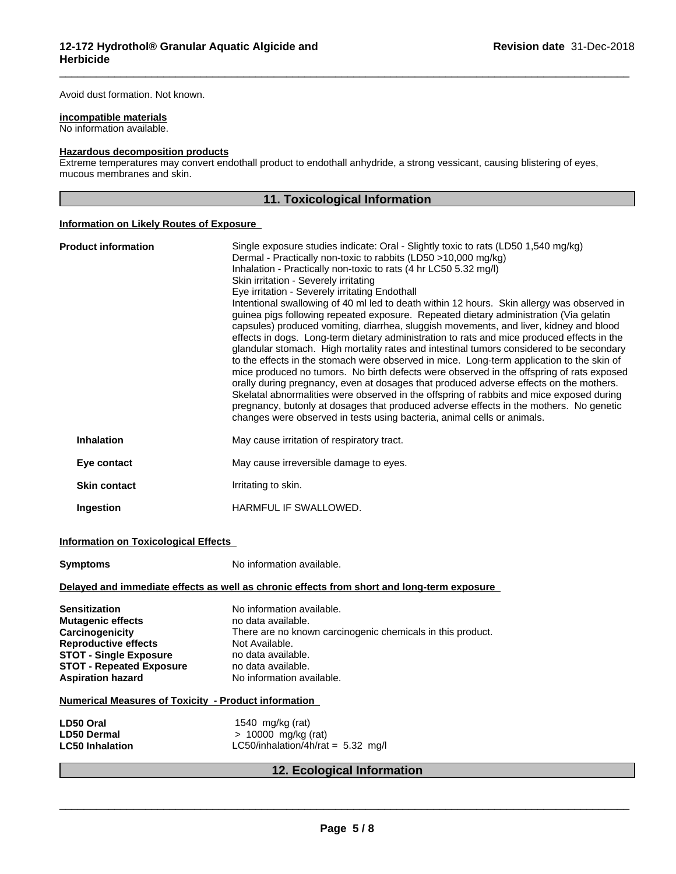Avoid dust formation. Not known.

## **incompatible materials**

No information available.

#### **Hazardous decomposition products**

Extreme temperatures may convert endothall product to endothall anhydride, a strong vessicant, causing blistering of eyes, mucous membranes and skin.

# **11. Toxicological Information**

 $\overline{\phantom{a}}$  ,  $\overline{\phantom{a}}$  ,  $\overline{\phantom{a}}$  ,  $\overline{\phantom{a}}$  ,  $\overline{\phantom{a}}$  ,  $\overline{\phantom{a}}$  ,  $\overline{\phantom{a}}$  ,  $\overline{\phantom{a}}$  ,  $\overline{\phantom{a}}$  ,  $\overline{\phantom{a}}$  ,  $\overline{\phantom{a}}$  ,  $\overline{\phantom{a}}$  ,  $\overline{\phantom{a}}$  ,  $\overline{\phantom{a}}$  ,  $\overline{\phantom{a}}$  ,  $\overline{\phantom{a}}$ 

## **Information on Likely Routes of Exposure**

| <b>Product information</b> | Single exposure studies indicate: Oral - Slightly toxic to rats (LD50 1,540 mg/kg)<br>Dermal - Practically non-toxic to rabbits (LD50 >10,000 mg/kg)<br>Inhalation - Practically non-toxic to rats (4 hr LC50 5.32 mg/l)<br>Skin irritation - Severely irritating<br>Eye irritation - Severely irritating Endothall<br>Intentional swallowing of 40 ml led to death within 12 hours. Skin allergy was observed in<br>guinea pigs following repeated exposure. Repeated dietary administration (Via gelatin<br>capsules) produced vomiting, diarrhea, sluggish movements, and liver, kidney and blood<br>effects in dogs. Long-term dietary administration to rats and mice produced effects in the<br>glandular stomach. High mortality rates and intestinal tumors considered to be secondary<br>to the effects in the stomach were observed in mice. Long-term application to the skin of<br>mice produced no tumors. No birth defects were observed in the offspring of rats exposed<br>orally during pregnancy, even at dosages that produced adverse effects on the mothers.<br>Skelatal abnormalities were observed in the offspring of rabbits and mice exposed during<br>pregnancy, butonly at dosages that produced adverse effects in the mothers. No genetic<br>changes were observed in tests using bacteria, animal cells or animals. |
|----------------------------|----------------------------------------------------------------------------------------------------------------------------------------------------------------------------------------------------------------------------------------------------------------------------------------------------------------------------------------------------------------------------------------------------------------------------------------------------------------------------------------------------------------------------------------------------------------------------------------------------------------------------------------------------------------------------------------------------------------------------------------------------------------------------------------------------------------------------------------------------------------------------------------------------------------------------------------------------------------------------------------------------------------------------------------------------------------------------------------------------------------------------------------------------------------------------------------------------------------------------------------------------------------------------------------------------------------------------------------------------|
| <b>Inhalation</b>          | May cause irritation of respiratory tract.                                                                                                                                                                                                                                                                                                                                                                                                                                                                                                                                                                                                                                                                                                                                                                                                                                                                                                                                                                                                                                                                                                                                                                                                                                                                                                         |
| Eye contact                | May cause irreversible damage to eyes.                                                                                                                                                                                                                                                                                                                                                                                                                                                                                                                                                                                                                                                                                                                                                                                                                                                                                                                                                                                                                                                                                                                                                                                                                                                                                                             |
| <b>Skin contact</b>        | Irritating to skin.                                                                                                                                                                                                                                                                                                                                                                                                                                                                                                                                                                                                                                                                                                                                                                                                                                                                                                                                                                                                                                                                                                                                                                                                                                                                                                                                |
| Ingestion                  | HARMFUL IF SWALLOWED.                                                                                                                                                                                                                                                                                                                                                                                                                                                                                                                                                                                                                                                                                                                                                                                                                                                                                                                                                                                                                                                                                                                                                                                                                                                                                                                              |
|                            |                                                                                                                                                                                                                                                                                                                                                                                                                                                                                                                                                                                                                                                                                                                                                                                                                                                                                                                                                                                                                                                                                                                                                                                                                                                                                                                                                    |

# **Information on Toxicological Effects**

| Symptoms                                                                                                                                                                      | No information available.                                                                                                                                                                                |
|-------------------------------------------------------------------------------------------------------------------------------------------------------------------------------|----------------------------------------------------------------------------------------------------------------------------------------------------------------------------------------------------------|
|                                                                                                                                                                               | Delayed and immediate effects as well as chronic effects from short and long-term exposure                                                                                                               |
| Sensitization<br>Mutagenic effects<br>Carcinogenicity<br><b>Reproductive effects</b><br><b>STOT - Single Exposure</b><br><b>STOT - Repeated Exposure</b><br>Aspiration hazard | No information available.<br>no data available.<br>There are no known carcinogenic chemicals in this product.<br>Not Available.<br>no data available.<br>no data available.<br>No information available. |
| <b>Numerical Measures of Toxicity - Product information</b>                                                                                                                   |                                                                                                                                                                                                          |
| LD50 Oral<br>LD50 Dermal<br><b>LC50 Inhalation</b>                                                                                                                            | 1540 mg/kg (rat)<br>$> 10000$ mg/kg (rat)<br>LC50/inhalation/4h/rat = $5.32 \text{ mg/l}$                                                                                                                |

## **12. Ecological Information**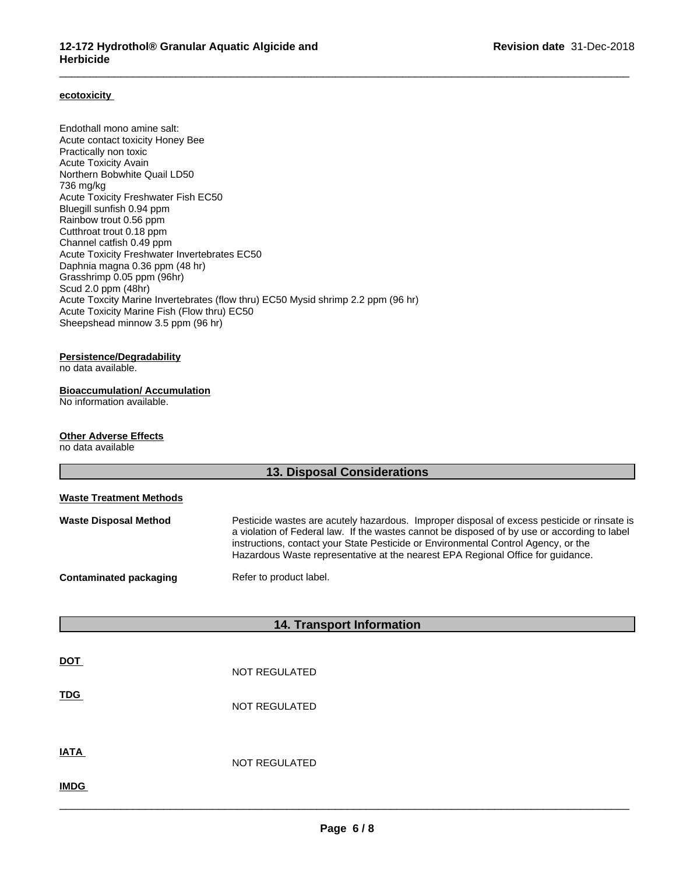$\overline{\phantom{a}}$  ,  $\overline{\phantom{a}}$  ,  $\overline{\phantom{a}}$  ,  $\overline{\phantom{a}}$  ,  $\overline{\phantom{a}}$  ,  $\overline{\phantom{a}}$  ,  $\overline{\phantom{a}}$  ,  $\overline{\phantom{a}}$  ,  $\overline{\phantom{a}}$  ,  $\overline{\phantom{a}}$  ,  $\overline{\phantom{a}}$  ,  $\overline{\phantom{a}}$  ,  $\overline{\phantom{a}}$  ,  $\overline{\phantom{a}}$  ,  $\overline{\phantom{a}}$  ,  $\overline{\phantom{a}}$ 

#### **ecotoxicity**

Endothall mono amine salt: Acute contact toxicity Honey Bee Practically non toxic Acute Toxicity Avain Northern Bobwhite Quail LD50 736 mg/kg Acute Toxicity Freshwater Fish EC50 Bluegill sunfish 0.94 ppm Rainbow trout 0.56 ppm Cutthroat trout 0.18 ppm Channel catfish 0.49 ppm Acute Toxicity Freshwater Invertebrates EC50 Daphnia magna 0.36 ppm (48 hr) Grasshrimp 0.05 ppm (96hr) Scud 2.0 ppm (48hr) Acute Toxcity Marine Invertebrates (flow thru) EC50 Mysid shrimp 2.2 ppm (96 hr) Acute Toxicity Marine Fish (Flow thru) EC50 Sheepshead minnow 3.5 ppm (96 hr)

#### **Persistence/Degradability**

no data available.

#### **Bioaccumulation/ Accumulation**

No information available.

#### **Other Adverse Effects**

no data available

| 13. Disposal Considerations    |                                                                                                                                                                                                                                                                                                                                                                      |  |
|--------------------------------|----------------------------------------------------------------------------------------------------------------------------------------------------------------------------------------------------------------------------------------------------------------------------------------------------------------------------------------------------------------------|--|
| <b>Waste Treatment Methods</b> |                                                                                                                                                                                                                                                                                                                                                                      |  |
| <b>Waste Disposal Method</b>   | Pesticide wastes are acutely hazardous. Improper disposal of excess pesticide or rinsate is<br>a violation of Federal law. If the wastes cannot be disposed of by use or according to label<br>instructions, contact your State Pesticide or Environmental Control Agency, or the<br>Hazardous Waste representative at the nearest EPA Regional Office for guidance. |  |
| <b>Contaminated packaging</b>  | Refer to product label.                                                                                                                                                                                                                                                                                                                                              |  |
|                                | <b>14. Transport Information</b>                                                                                                                                                                                                                                                                                                                                     |  |
|                                |                                                                                                                                                                                                                                                                                                                                                                      |  |
| <b>DOT</b>                     | <b>NOT REGULATED</b>                                                                                                                                                                                                                                                                                                                                                 |  |
| <b>TDG</b>                     | <b>NOT REGULATED</b>                                                                                                                                                                                                                                                                                                                                                 |  |
| <b>IATA</b>                    | <b>NOT REGULATED</b>                                                                                                                                                                                                                                                                                                                                                 |  |
| <b>IMDG</b>                    |                                                                                                                                                                                                                                                                                                                                                                      |  |
|                                |                                                                                                                                                                                                                                                                                                                                                                      |  |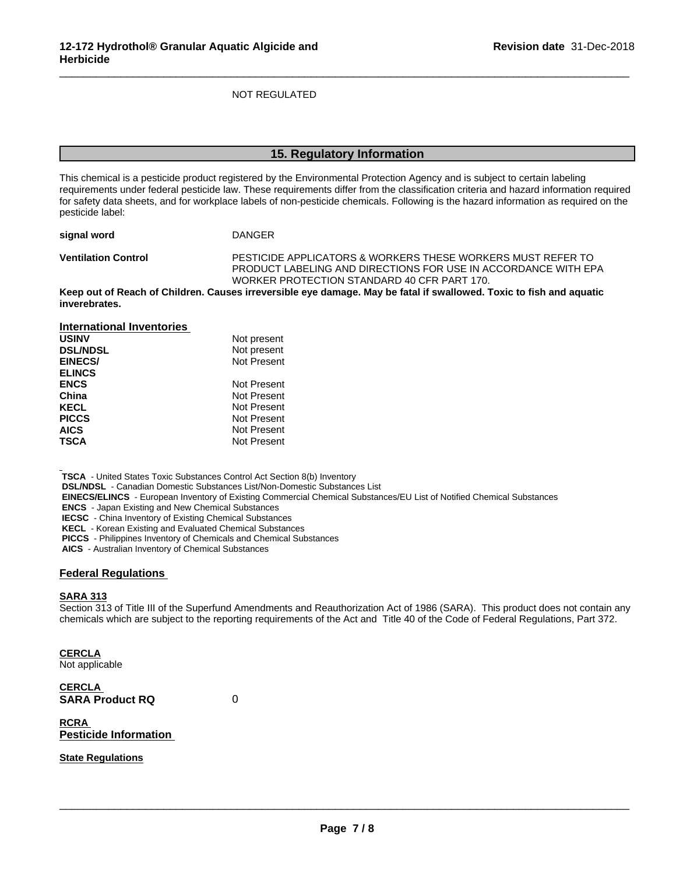NOT REGULATED

#### **15. Regulatory Information**

 $\overline{\phantom{a}}$  ,  $\overline{\phantom{a}}$  ,  $\overline{\phantom{a}}$  ,  $\overline{\phantom{a}}$  ,  $\overline{\phantom{a}}$  ,  $\overline{\phantom{a}}$  ,  $\overline{\phantom{a}}$  ,  $\overline{\phantom{a}}$  ,  $\overline{\phantom{a}}$  ,  $\overline{\phantom{a}}$  ,  $\overline{\phantom{a}}$  ,  $\overline{\phantom{a}}$  ,  $\overline{\phantom{a}}$  ,  $\overline{\phantom{a}}$  ,  $\overline{\phantom{a}}$  ,  $\overline{\phantom{a}}$ 

This chemical is a pesticide product registered by the Environmental Protection Agency and is subject to certain labeling requirements under federal pesticide law. These requirements differ from the classification criteria and hazard information required for safety data sheets, and for workplace labels of non-pesticide chemicals. Following is the hazard information as required on the pesticide label:

| signal word                      | <b>DANGER</b>                                                                                                                                                                |
|----------------------------------|------------------------------------------------------------------------------------------------------------------------------------------------------------------------------|
| <b>Ventilation Control</b>       | PESTICIDE APPLICATORS & WORKERS THESE WORKERS MUST REFER TO<br>PRODUCT LABELING AND DIRECTIONS FOR USE IN ACCORDANCE WITH EPA<br>WORKER PROTECTION STANDARD 40 CFR PART 170. |
| inverebrates.                    | Keep out of Reach of Children. Causes irreversible eye damage. May be fatal if swallowed. Toxic to fish and aquatic                                                          |
| <b>International Inventories</b> |                                                                                                                                                                              |
| <b>USINV</b>                     | Not present                                                                                                                                                                  |

| UƏINV           | <b>NOT present</b> |
|-----------------|--------------------|
| <b>DSL/NDSL</b> | Not present        |
| <b>EINECS/</b>  | Not Present        |
| <b>ELINCS</b>   |                    |
| <b>ENCS</b>     | Not Present        |
| China           | Not Present        |
| KECL            | Not Present        |
| <b>PICCS</b>    | Not Present        |
| <b>AICS</b>     | Not Present        |
| TSCA            | Not Present        |
|                 |                    |

 **TSCA** - United States Toxic Substances Control Act Section 8(b) Inventory  **DSL/NDSL** - Canadian Domestic Substances List/Non-Domestic Substances List  **EINECS/ELINCS** - European Inventory of Existing Commercial Chemical Substances/EU List of Notified Chemical Substances  **ENCS** - Japan Existing and New Chemical Substances

 **IECSC** - China Inventory of Existing Chemical Substances

 **KECL** - Korean Existing and Evaluated Chemical Substances

 **PICCS** - Philippines Inventory of Chemicals and Chemical Substances

 **AICS** - Australian Inventory of Chemical Substances

#### **Federal Regulations**

#### **SARA 313**

Section 313 of Title III of the Superfund Amendments and Reauthorization Act of 1986 (SARA). This product does not contain any chemicals which are subject to the reporting requirements of the Act and Title 40 of the Code of Federal Regulations, Part 372.

**CERCLA** Not applicable

**CERCLA SARA Product RQ** 0

**RCRA Pesticide Information**

## **State Regulations**